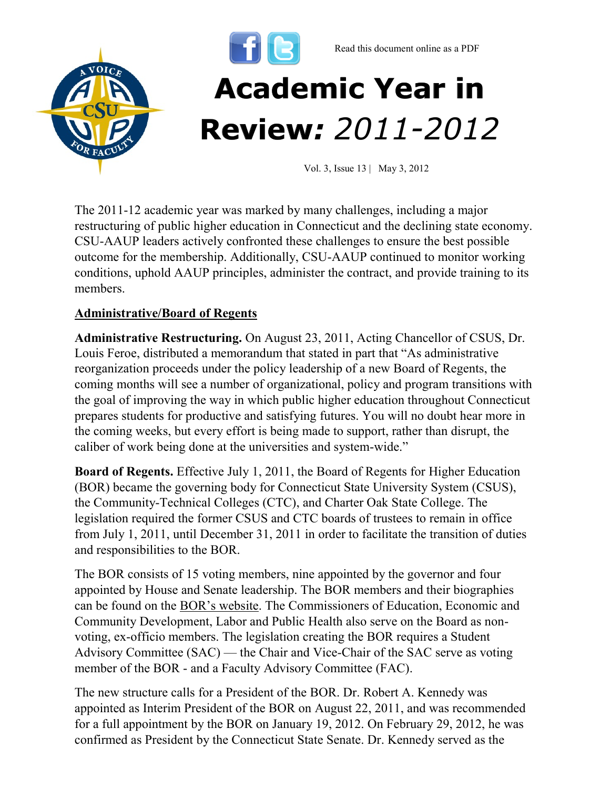

The 2011-12 academic year was marked by many challenges, including a major restructuring of public higher education in Connecticut and the declining state economy. CSU-AAUP leaders actively confronted these challenges to ensure the best possible outcome for the membership. Additionally, CSU-AAUP continued to monitor working conditions, uphold AAUP principles, administer the contract, and provide training to its members.

## **Administrative/Board of Regents**

**Administrative Restructuring.** On August 23, 2011, Acting Chancellor of CSUS, Dr. Louis Feroe, distributed a memorandum that stated in part that "As administrative reorganization proceeds under the policy leadership of a new Board of Regents, the coming months will see a number of organizational, policy and program transitions with the goal of improving the way in which public higher education throughout Connecticut prepares students for productive and satisfying futures. You will no doubt hear more in the coming weeks, but every effort is being made to support, rather than disrupt, the caliber of work being done at the universities and system-wide."

**Board of Regents.** Effective July 1, 2011, the Board of Regents for Higher Education (BOR) became the governing body for Connecticut State University System (CSUS), the Community-Technical Colleges (CTC), and Charter Oak State College. The legislation required the former CSUS and CTC boards of trustees to remain in office from July 1, 2011, until December 31, 2011 in order to facilitate the transition of duties and responsibilities to the BOR.

The BOR consists of 15 voting members, nine appointed by the governor and four appointed by House and Senate leadership. The BOR members and their biographies can be found on the [BOR's website](http://www.ctregents.org/). The Commissioners of Education, Economic and Community Development, Labor and Public Health also serve on the Board as nonvoting, ex-officio members. The legislation creating the BOR requires a Student Advisory Committee (SAC) — the Chair and Vice-Chair of the SAC serve as voting member of the BOR - and a Faculty Advisory Committee (FAC).

The new structure calls for a President of the BOR. Dr. Robert A. Kennedy was appointed as Interim President of the BOR on August 22, 2011, and was recommended for a full appointment by the BOR on January 19, 2012. On February 29, 2012, he was confirmed as President by the Connecticut State Senate. Dr. Kennedy served as the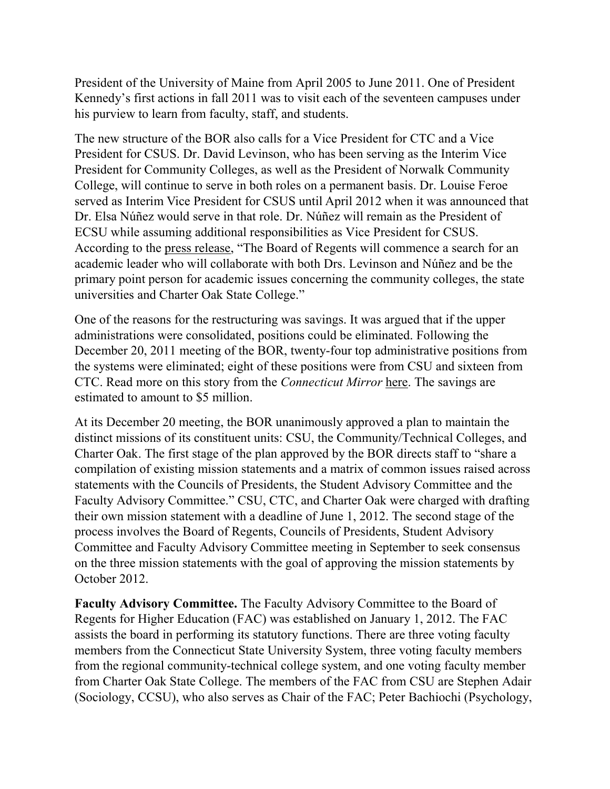President of the University of Maine from April 2005 to June 2011. One of President Kennedy's first actions in fall 2011 was to visit each of the seventeen campuses under his purview to learn from faculty, staff, and students.

The new structure of the BOR also calls for a Vice President for CTC and a Vice President for CSUS. Dr. David Levinson, who has been serving as the Interim Vice President for Community Colleges, as well as the President of Norwalk Community College, will continue to serve in both roles on a permanent basis. Dr. Louise Feroe served as Interim Vice President for CSUS until April 2012 when it was announced that Dr. Elsa Núñez would serve in that role. Dr. Núñez will remain as the President of ECSU while assuming additional responsibilities as Vice President for CSUS. According to the [press release](http://www.ctregents.org/newsroom/board_president_announces_new_academic_leadership_structure), "The Board of Regents will commence a search for an academic leader who will collaborate with both Drs. Levinson and Núñez and be the primary point person for academic issues concerning the community colleges, the state universities and Charter Oak State College."

One of the reasons for the restructuring was savings. It was argued that if the upper administrations were consolidated, positions could be eliminated. Following the December 20, 2011 meeting of the BOR, twenty-four top administrative positions from the systems were eliminated; eight of these positions were from CSU and sixteen from CTC. Read more on this story from the *Connecticut Mirror* [here.](http://www.ctmirror.org/story/15001/pink-slips-given-top-higher-education-officials) The savings are estimated to amount to \$5 million.

At its December 20 meeting, the BOR unanimously approved a plan to maintain the distinct missions of its constituent units: CSU, the Community/Technical Colleges, and Charter Oak. The first stage of the plan approved by the BOR directs staff to "share a compilation of existing mission statements and a matrix of common issues raised across statements with the Councils of Presidents, the Student Advisory Committee and the Faculty Advisory Committee." CSU, CTC, and Charter Oak were charged with drafting their own mission statement with a deadline of June 1, 2012. The second stage of the process involves the Board of Regents, Councils of Presidents, Student Advisory Committee and Faculty Advisory Committee meeting in September to seek consensus on the three mission statements with the goal of approving the mission statements by October 2012.

**Faculty Advisory Committee.** The Faculty Advisory Committee to the Board of Regents for Higher Education (FAC) was established on January 1, 2012. The FAC assists the board in performing its statutory functions. There are three voting faculty members from the Connecticut State University System, three voting faculty members from the regional community-technical college system, and one voting faculty member from Charter Oak State College. The members of the FAC from CSU are Stephen Adair (Sociology, CCSU), who also serves as Chair of the FAC; Peter Bachiochi (Psychology,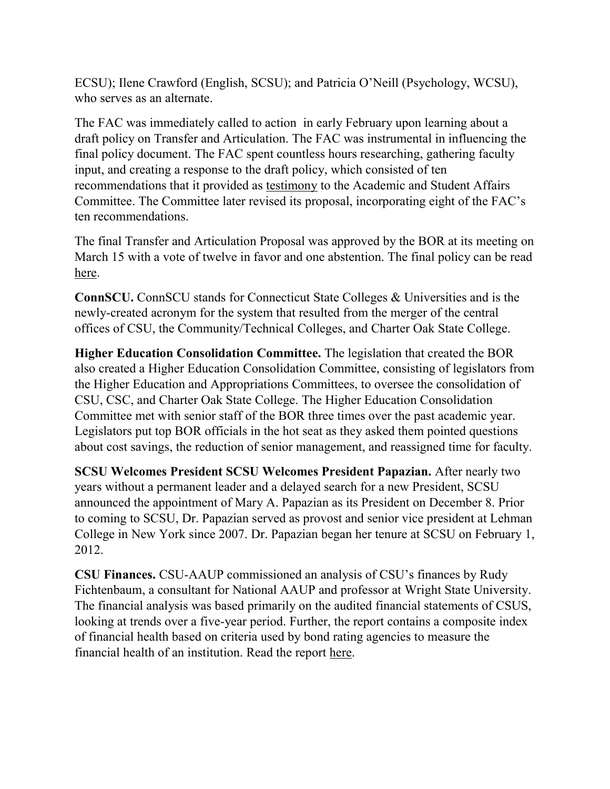ECSU); Ilene Crawford (English, SCSU); and Patricia O'Neill (Psychology, WCSU), who serves as an alternate.

The FAC was immediately called to action in early February upon learning about a draft policy on Transfer and Articulation. The FAC was instrumental in influencing the final policy document. The FAC spent countless hours researching, gathering faculty input, and creating a response to the draft policy, which consisted of ten recommendations that it provided as [testimony](http://www.csuaaup.org/wp-content/uploads/2012/03/FAC-response-and-recommendations-to-BOR-transfer-and-articulation-policy.docx) to the Academic and Student Affairs Committee. The Committee later revised its proposal, incorporating eight of the FAC's ten recommendations.

The final Transfer and Articulation Proposal was approved by the BOR at its meeting on March 15 with a vote of twelve in favor and one abstention. The final policy can be read [here.](http://www.csuaaup.org/wp-content/uploads/2012/03/FINALBORtransferpolicy.pdf)

**ConnSCU.** ConnSCU stands for Connecticut State Colleges & Universities and is the newly-created acronym for the system that resulted from the merger of the central offices of CSU, the Community/Technical Colleges, and Charter Oak State College.

**Higher Education Consolidation Committee.** The legislation that created the BOR also created a Higher Education Consolidation Committee, consisting of legislators from the Higher Education and Appropriations Committees, to oversee the consolidation of CSU, CSC, and Charter Oak State College. The Higher Education Consolidation Committee met with senior staff of the BOR three times over the past academic year. Legislators put top BOR officials in the hot seat as they asked them pointed questions about cost savings, the reduction of senior management, and reassigned time for faculty.

**SCSU Welcomes President SCSU Welcomes President Papazian.** After nearly two years without a permanent leader and a delayed search for a new President, SCSU announced the appointment of Mary A. Papazian as its President on December 8. Prior to coming to SCSU, Dr. Papazian served as provost and senior vice president at Lehman College in New York since 2007. Dr. Papazian began her tenure at SCSU on February 1, 2012.

**CSU Finances.** CSU-AAUP commissioned an analysis of CSU's finances by Rudy Fichtenbaum, a consultant for National AAUP and professor at Wright State University. The financial analysis was based primarily on the audited financial statements of CSUS, looking at trends over a five-year period. Further, the report contains a composite index of financial health based on criteria used by bond rating agencies to measure the financial health of an institution. Read the report [here.](http://www.csuaaup.org/wp-content/uploads/2011/09/ReportCSUFinances.pdf)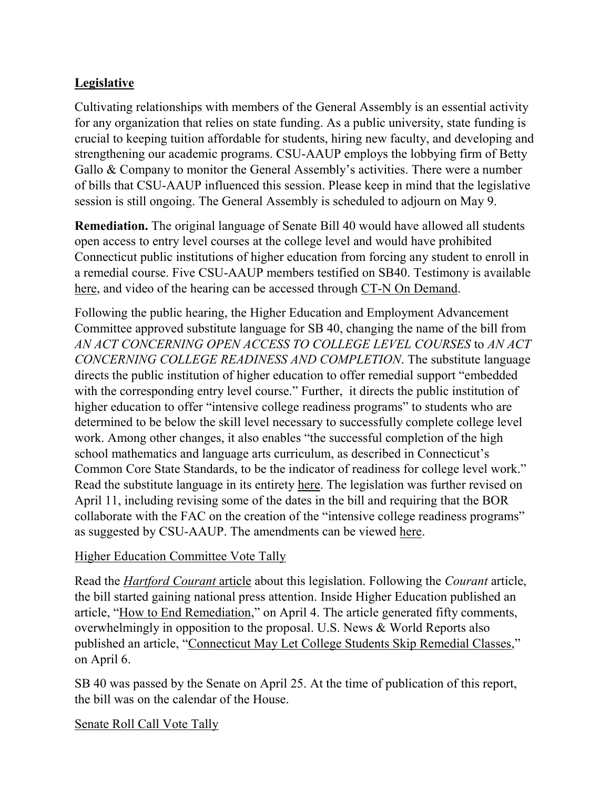# **Legislative**

Cultivating relationships with members of the General Assembly is an essential activity for any organization that relies on state funding. As a public university, state funding is crucial to keeping tuition affordable for students, hiring new faculty, and developing and strengthening our academic programs. CSU-AAUP employs the lobbying firm of Betty Gallo & Company to monitor the General Assembly's activities. There were a number of bills that CSU-AAUP influenced this session. Please keep in mind that the legislative session is still ongoing. The General Assembly is scheduled to adjourn on May 9.

**Remediation.** The original language of Senate Bill 40 would have allowed all students open access to entry level courses at the college level and would have prohibited Connecticut public institutions of higher education from forcing any student to enroll in a remedial course. Five CSU-AAUP members testified on SB40. Testimony is available [here,](http://www.cga.ct.gov/asp/menu/CommDocTmyBillAllComm.asp?bill=SB-00040&doc_year=2012) and video of the hearing can be accessed through [CT-N On Demand.](http://www.ctn.state.ct.us/ondemand.asp) 

Following the public hearing, the Higher Education and Employment Advancement Committee approved substitute language for SB 40, changing the name of the bill from *AN ACT CONCERNING OPEN ACCESS TO COLLEGE LEVEL COURSES* to *AN ACT CONCERNING COLLEGE READINESS AND COMPLETION*. The substitute language directs the public institution of higher education to offer remedial support "embedded with the corresponding entry level course." Further, it directs the public institution of higher education to offer "intensive college readiness programs" to students who are determined to be below the skill level necessary to successfully complete college level work. Among other changes, it also enables "the successful completion of the high school mathematics and language arts curriculum, as described in Connecticut's Common Core State Standards, to be the indicator of readiness for college level work." Read the substitute language in its entirety [here.](http://www.csuaaup.org/wp-content/uploads/2012/03/SubstituteSB40.pdf) The legislation was further revised on April 11, including revising some of the dates in the bill and requiring that the BOR collaborate with the FAC on the creation of the "intensive college readiness programs" as suggested by CSU-AAUP. The amendments can be viewed [here.](http://www.cga.ct.gov/2012/amd/S/2012SB-00040-R00SA-AMD.htm) 

## [Higher Education Committee Vote Tally](http://www.cga.ct.gov/2012/TS/S/2012SB-00040-R00HED-CV17-TS.htm)

Read the *[Hartford Courant](http://www.courant.com/news/education/hc-remedial-bill-0320-20120319,0,4426427.story)* article about this legislation. Following the *Courant* article, the bill started gaining national press attention. Inside Higher Education published an article, "[How to End Remediation](http://www.insidehighered.com/news/2012/04/04/connecticut-legislature-mulls-elimination-remedial-courses)," on April 4. The article generated fifty comments, overwhelmingly in opposition to the proposal. U.S. News & World Reports also published an article, "[Connecticut May Let College Students Skip Remedial Classes](http://www.usnews.com/education/best-colleges/articles/2012/04/06/connecticut-may-let-college-students-skip-remedial-classes)," on April 6.

SB 40 was passed by the Senate on April 25. At the time of publication of this report, the bill was on the calendar of the House.

[Senate Roll Call Vote Tally](http://www.cga.ct.gov/2012/VOTE/S/2012SV-00175-R00SB00040-SV.htm)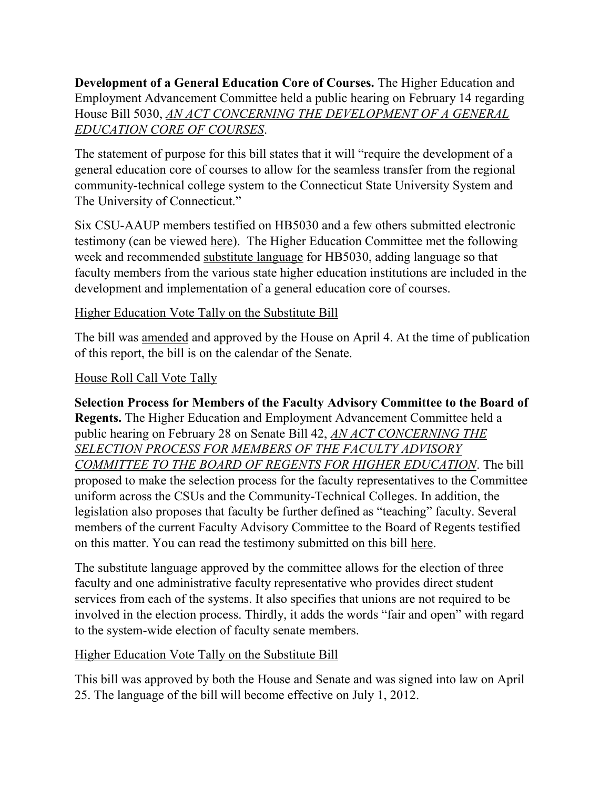**Development of a General Education Core of Courses.** The Higher Education and Employment Advancement Committee held a public hearing on February 14 regarding House Bill 5030, *[AN ACT CONCERNING THE DEVELOPMENT OF A GENERAL](http://www.cga.ct.gov/2012/TOB/H/2012HB-05030-R00-HB.htm)  [EDUCATION CORE OF COURSES](http://www.cga.ct.gov/2012/TOB/H/2012HB-05030-R00-HB.htm)*.

The statement of purpose for this bill states that it will "require the development of a general education core of courses to allow for the seamless transfer from the regional community-technical college system to the Connecticut State University System and The University of Connecticut."

Six CSU-AAUP members testified on HB5030 and a few others submitted electronic testimony (can be viewed [here\)](http://www.cga.ct.gov/asp/menu/CommDocTmyBill.asp?comm_code=HED&bill=HB-05030&doc_year=2012). The Higher Education Committee met the following week and recommended [substitute language](http://www.csuaaup.org/wp-content/uploads/2012/02/HB5030Amended.pdf) for HB5030, adding language so that faculty members from the various state higher education institutions are included in the development and implementation of a general education core of courses.

#### Higher Education [Vote Tally on the Substitute Bill](http://cga.ct.gov/2012/TS/H/2012HB-05030-R00HED-CV3-TS.htm)

The bill was [amended](http://www.cga.ct.gov/asp/cgabillstatus/cgabillstatus.asp?selBillType=Bill&bill_num=5030&which_year=2012&SUBMIT1.x=0&SUBMIT1.y=0) and approved by the House on April 4. At the time of publication of this report, the bill is on the calendar of the Senate.

#### [House Roll Call Vote Tally](http://www.cga.ct.gov/2012/VOTE/H/2012HV-00039-R00HB05030-HV.htm)

**Selection Process for Members of the Faculty Advisory Committee to the Board of Regents.** The Higher Education and Employment Advancement Committee held a public hearing on February 28 on Senate Bill 42, *[AN ACT CONCERNING THE](http://www.cga.ct.gov/2012/TOB/S/2012SB-00042-R00-SB.htm)  [SELECTION PROCESS FOR MEMBERS OF THE FACULTY ADVISORY](http://www.cga.ct.gov/2012/TOB/S/2012SB-00042-R00-SB.htm)  [COMMITTEE TO THE BOARD OF REGENTS FOR HIGHER EDUCATION](http://www.cga.ct.gov/2012/TOB/S/2012SB-00042-R00-SB.htm)*. The bill proposed to make the selection process for the faculty representatives to the Committee uniform across the CSUs and the Community-Technical Colleges. In addition, the legislation also proposes that faculty be further defined as "teaching" faculty. Several members of the current Faculty Advisory Committee to the Board of Regents testified on this matter. You can read the testimony submitted on this bill [here.](http://www.cga.ct.gov/asp/menu/CommDocTmyBillAllComm.asp?bill=SB-00042&doc_year=2012)

The substitute language approved by the committee allows for the election of three faculty and one administrative faculty representative who provides direct student services from each of the systems. It also specifies that unions are not required to be involved in the election process. Thirdly, it adds the words "fair and open" with regard to the system-wide election of faculty senate members.

## Higher Education [Vote Tally on the Substitute Bill](http://www.cga.ct.gov/2012/TS/S/2012SB-00242-R00HED-CV19-TS.htm)

This bill was approved by both the House and Senate and was signed into law on April 25. The language of the bill will become effective on July 1, 2012.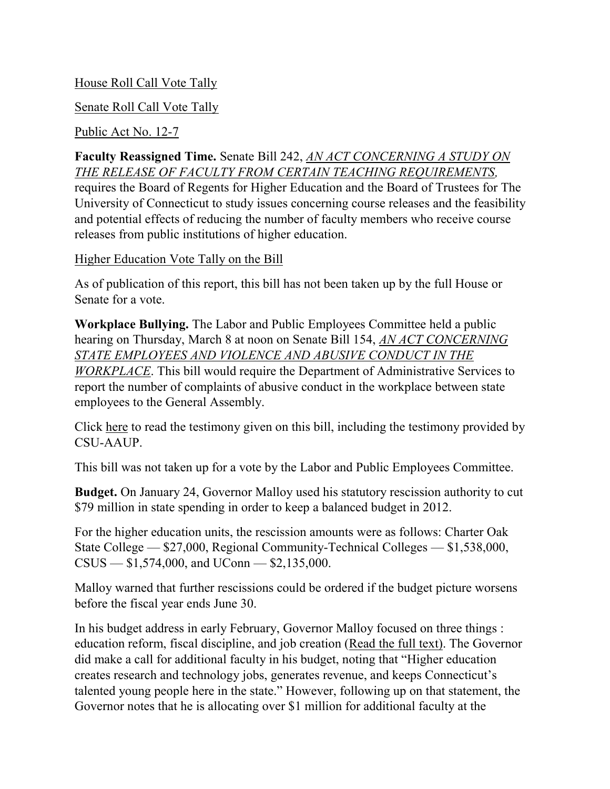#### [House Roll Call Vote Tally](http://www.cga.ct.gov/2012/VOTE/H/2012HV-00110-R00SB00042-HV.htm)

#### [Senate Roll Call Vote Tally](http://www.cga.ct.gov/2012/VOTE/S/2012SV-00113-R00SB00042-SV.htm)

#### [Public Act No. 12-7](http://www.cga.ct.gov/2012/ACT/PA/2012PA-00007-R00SB-00042-PA.htm)

**Faculty Reassigned Time.** Senate Bill 242, *[AN ACT CONCERNING A STUDY ON](http://www.cga.ct.gov/2012/FC/2012SB-00242-R000070-FC.htm)  [THE RELEASE OF FACULTY FROM CERTAIN TEACHING REQUIREMENTS,](http://www.cga.ct.gov/2012/FC/2012SB-00242-R000070-FC.htm)*  requires the Board of Regents for Higher Education and the Board of Trustees for The University of Connecticut to study issues concerning course releases and the feasibility and potential effects of reducing the number of faculty members who receive course releases from public institutions of higher education.

#### Higher Education [Vote Tally on the Bill](http://www.cga.ct.gov/2012/TS/S/2012SB-00242-R00HED-CV19-TS.htm)

As of publication of this report, this bill has not been taken up by the full House or Senate for a vote.

**Workplace Bullying.** The Labor and Public Employees Committee held a public hearing on Thursday, March 8 at noon on Senate Bill 154, *[AN ACT CONCERNING](http://www.cga.ct.gov/2012/TOB/S/2012SB-00154-R00-SB.htm)  [STATE EMPLOYEES AND VIOLENCE AND ABUSIVE CONDUCT IN THE](http://www.cga.ct.gov/2012/TOB/S/2012SB-00154-R00-SB.htm)  [WORKPLACE](http://www.cga.ct.gov/2012/TOB/S/2012SB-00154-R00-SB.htm)*. This bill would require the Department of Administrative Services to report the number of complaints of abusive conduct in the workplace between state employees to the General Assembly.

Click [here](http://www.cga.ct.gov/asp/menu/CommDocTmyBillAllComm.asp?bill=SB-00154&doc_year=2012) to read the testimony given on this bill, including the testimony provided by CSU-AAUP.

This bill was not taken up for a vote by the Labor and Public Employees Committee.

**Budget.** On January 24, Governor Malloy used his statutory rescission authority to cut \$79 million in state spending in order to keep a balanced budget in 2012.

For the higher education units, the rescission amounts were as follows: Charter Oak State College — \$27,000, Regional Community-Technical Colleges — \$1,538,000, CSUS — \$1,574,000, and UConn — \$2,135,000.

Malloy warned that further rescissions could be ordered if the budget picture worsens before the fiscal year ends June 30.

In his budget address in early February, Governor Malloy focused on three things : education reform, fiscal discipline, and job creation [\(Read the full text\).](http://www.governor.ct.gov/malloy/cwp/view.asp?A=11&Q=498904) The Governor did make a call for additional faculty in his budget, noting that "Higher education creates research and technology jobs, generates revenue, and keeps Connecticut's talented young people here in the state." However, following up on that statement, the Governor notes that he is allocating over \$1 million for additional faculty at the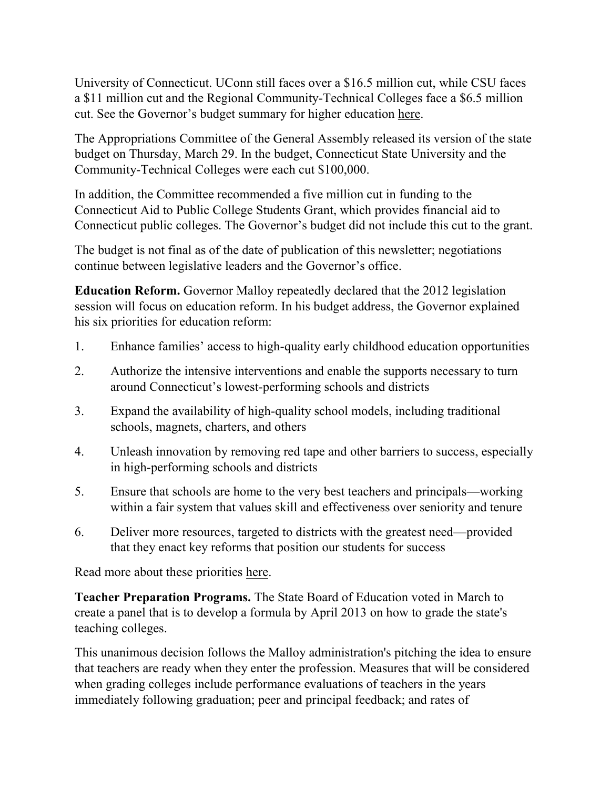University of Connecticut. UConn still faces over a \$16.5 million cut, while CSU faces a \$11 million cut and the Regional Community-Technical Colleges face a \$6.5 million cut. See the Governor's budget summary for higher education [here.](http://www.csuaaup.org/wp-content/uploads/2012/02/B107.pdf)

The Appropriations Committee of the General Assembly released its version of the state budget on Thursday, March 29. In the budget, Connecticut State University and the Community-Technical Colleges were each cut \$100,000.

In addition, the Committee recommended a five million cut in funding to the Connecticut Aid to Public College Students Grant, which provides financial aid to Connecticut public colleges. The Governor's budget did not include this cut to the grant.

The budget is not final as of the date of publication of this newsletter; negotiations continue between legislative leaders and the Governor's office.

**Education Reform.** Governor Malloy repeatedly declared that the 2012 legislation session will focus on education reform. In his budget address, the Governor explained his six priorities for education reform:

- 1. Enhance families' access to high-quality early childhood education opportunities
- 2. Authorize the intensive interventions and enable the supports necessary to turn around Connecticut's lowest-performing schools and districts
- 3. Expand the availability of high-quality school models, including traditional schools, magnets, charters, and others
- 4. Unleash innovation by removing red tape and other barriers to success, especially in high-performing schools and districts
- 5. Ensure that schools are home to the very best teachers and principals—working within a fair system that values skill and effectiveness over seniority and tenure
- 6. Deliver more resources, targeted to districts with the greatest need—provided that they enact key reforms that position our students for success

Read more about these priorities [here.](http://www.csuaaup.org/wp-content/uploads/2012/02/A5.pdf)

**Teacher Preparation Programs.** The State Board of Education voted in March to create a panel that is to develop a formula by April 2013 on how to grade the state's teaching colleges.

This unanimous decision follows the Malloy administration's pitching the idea to ensure that teachers are ready when they enter the profession. Measures that will be considered when grading colleges include performance evaluations of teachers in the years immediately following graduation; peer and principal feedback; and rates of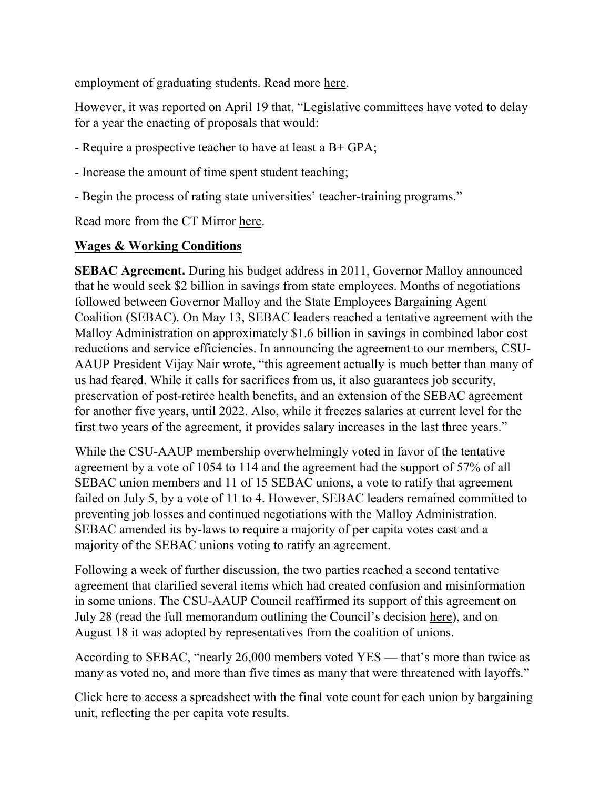employment of graduating students. Read more [here.](http://ctmirror.com/blogs/education-reform-next-stop-grading-teacher-prep-programs) 

However, it was reported on April 19 that, "Legislative committees have voted to delay for a year the enacting of proposals that would:

- Require a prospective teacher to have at least a B+ GPA;
- Increase the amount of time spent student teaching;
- Begin the process of rating state universities' teacher-training programs."

Read more from the CT Mirror [here.](http://www.ctmirror.org/story/16040/plans-increase-requirements-new-teachers-stalled) 

#### **Wages & Working Conditions**

**SEBAC Agreement.** During his budget address in 2011, Governor Malloy announced that he would seek \$2 billion in savings from state employees. Months of negotiations followed between Governor Malloy and the State Employees Bargaining Agent Coalition (SEBAC). On May 13, SEBAC leaders reached a tentative agreement with the Malloy Administration on approximately \$1.6 billion in savings in combined labor cost reductions and service efficiencies. In announcing the agreement to our members, CSU-AAUP President Vijay Nair wrote, "this agreement actually is much better than many of us had feared. While it calls for sacrifices from us, it also guarantees job security, preservation of post-retiree health benefits, and an extension of the SEBAC agreement for another five years, until 2022. Also, while it freezes salaries at current level for the first two years of the agreement, it provides salary increases in the last three years."

While the CSU-AAUP membership overwhelmingly voted in favor of the tentative agreement by a vote of 1054 to 114 and the agreement had the support of 57% of all SEBAC union members and 11 of 15 SEBAC unions, a vote to ratify that agreement failed on July 5, by a vote of 11 to 4. However, SEBAC leaders remained committed to preventing job losses and continued negotiations with the Malloy Administration. SEBAC amended its by-laws to require a majority of per capita votes cast and a majority of the SEBAC unions voting to ratify an agreement.

Following a week of further discussion, the two parties reached a second tentative agreement that clarified several items which had created confusion and misinformation in some unions. The CSU-AAUP Council reaffirmed its support of this agreement on July 28 (read the full memorandum outlining the Council's decision [here\)](http://www.csuaaup.org/wp-content/uploads/2011/08/CouncilAffirmsSEBACVote.pdf), and on August 18 it was adopted by representatives from the coalition of unions.

According to SEBAC, "nearly 26,000 members voted YES — that's more than twice as many as voted no, and more than five times as many that were threatened with layoffs."

[Click here](http://inthistogetherct.org/wp-content/uploads/2011/08/L2001-REV-SEBAC-11-TA-TALLY.pdf) to access a spreadsheet with the final vote count for each union by bargaining unit, reflecting the per capita vote results.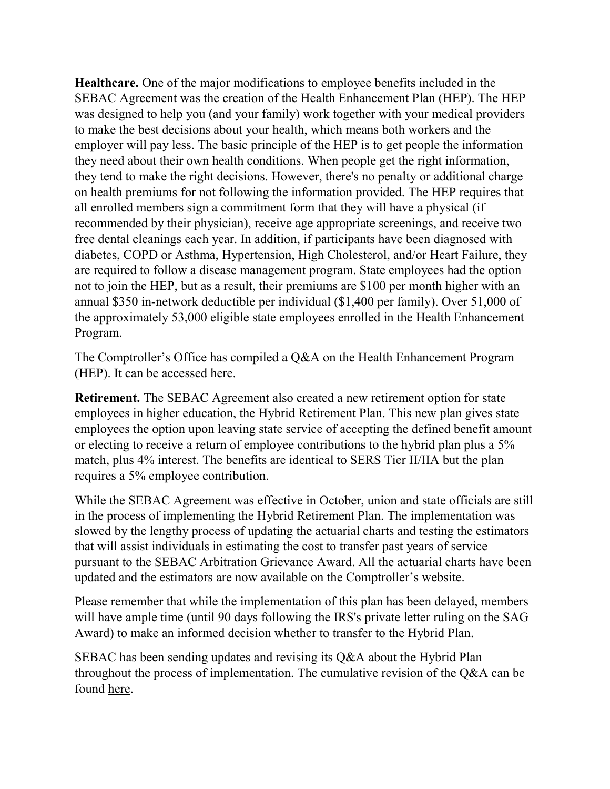**Healthcare.** One of the major modifications to employee benefits included in the SEBAC Agreement was the creation of the Health Enhancement Plan (HEP). The HEP was designed to help you (and your family) work together with your medical providers to make the best decisions about your health, which means both workers and the employer will pay less. The basic principle of the HEP is to get people the information they need about their own health conditions. When people get the right information, they tend to make the right decisions. However, there's no penalty or additional charge on health premiums for not following the information provided. The HEP requires that all enrolled members sign a commitment form that they will have a physical (if recommended by their physician), receive age appropriate screenings, and receive two free dental cleanings each year. In addition, if participants have been diagnosed with diabetes, COPD or Asthma, Hypertension, High Cholesterol, and/or Heart Failure, they are required to follow a disease management program. State employees had the option not to join the HEP, but as a result, their premiums are \$100 per month higher with an annual \$350 in-network deductible per individual (\$1,400 per family). Over 51,000 of the approximately 53,000 eligible state employees enrolled in the Health Enhancement Program.

The Comptroller's Office has compiled a Q&A on the Health Enhancement Program (HEP). It can be accessed [here.](http://www.csuaaup.org/wp-content/uploads/2012/05/HEPFAQ050112.doc)

**Retirement.** The SEBAC Agreement also created a new retirement option for state employees in higher education, the Hybrid Retirement Plan. This new plan gives state employees the option upon leaving state service of accepting the defined benefit amount or electing to receive a return of employee contributions to the hybrid plan plus a 5% match, plus 4% interest. The benefits are identical to SERS Tier II/IIA but the plan requires a 5% employee contribution.

While the SEBAC Agreement was effective in October, union and state officials are still in the process of implementing the Hybrid Retirement Plan. The implementation was slowed by the lengthy process of updating the actuarial charts and testing the estimators that will assist individuals in estimating the cost to transfer past years of service pursuant to the SEBAC Arbitration Grievance Award. All the actuarial charts have been updated and the estimators are now available on the [Comptroller's website](http://www.osc.ct.gov/rbsd/arptransfer/disclaimer.htm).

Please remember that while the implementation of this plan has been delayed, members will have ample time (until 90 days following the IRS's private letter ruling on the SAG Award) to make an informed decision whether to transfer to the Hybrid Plan.

SEBAC has been sending updates and revising its Q&A about the Hybrid Plan throughout the process of implementation. The cumulative revision of the Q&A can be found [here.](http://www.csuaaup.org/wp-content/uploads/2012/04/040312QA.pdf)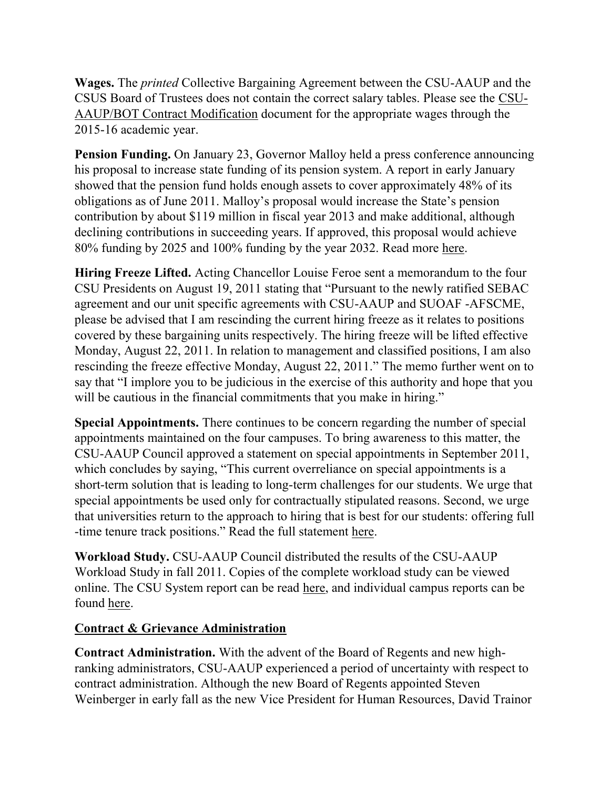**Wages.** The *printed* Collective Bargaining Agreement between the CSU-AAUP and the CSUS Board of Trustees does not contain the correct salary tables. Please see the [CSU-](http://www.csuaaup.org/wp-content/uploads/2011/06/CSUAAUP2011Modification.pdf)[AAUP/BOT Contract Modification](http://www.csuaaup.org/wp-content/uploads/2011/06/CSUAAUP2011Modification.pdf) document for the appropriate wages through the 2015-16 academic year.

**Pension Funding.** On January 23, Governor Malloy held a press conference announcing his proposal to increase state funding of its pension system. A report in early January showed that the pension fund holds enough assets to cover approximately 48% of its obligations as of June 2011. Malloy's proposal would increase the State's pension contribution by about \$119 million in fiscal year 2013 and make additional, although declining contributions in succeeding years. If approved, this proposal would achieve 80% funding by 2025 and 100% funding by the year 2032. Read more [here.](http://www.ctmirror.org/story/15150/malloy-unveils-plan-reverse-two-decades-damage-employees-pension-fund) 

**Hiring Freeze Lifted.** Acting Chancellor Louise Feroe sent a memorandum to the four CSU Presidents on August 19, 2011 stating that "Pursuant to the newly ratified SEBAC agreement and our unit specific agreements with CSU-AAUP and SUOAF -AFSCME, please be advised that I am rescinding the current hiring freeze as it relates to positions covered by these bargaining units respectively. The hiring freeze will be lifted effective Monday, August 22, 2011. In relation to management and classified positions, I am also rescinding the freeze effective Monday, August 22, 2011." The memo further went on to say that "I implore you to be judicious in the exercise of this authority and hope that you will be cautious in the financial commitments that you make in hiring."

**Special Appointments.** There continues to be concern regarding the number of special appointments maintained on the four campuses. To bring awareness to this matter, the CSU-AAUP Council approved a statement on special appointments in September 2011, which concludes by saying, "This current overreliance on special appointments is a short-term solution that is leading to long-term challenges for our students. We urge that special appointments be used only for contractually stipulated reasons. Second, we urge that universities return to the approach to hiring that is best for our students: offering full -time tenure track positions." Read the full statement [here.](http://www.csuaaup.org/wp-content/uploads/2011/09/AAUP-Special-Appointments-Statement.pdf) 

**Workload Study.** CSU-AAUP Council distributed the results of the CSU-AAUP Workload Study in fall 2011. Copies of the complete workload study can be viewed online. The CSU System report can be read [here,](http://www.csuaaup.org/wp-content/uploads/2011/09/CSUWSReport.pdf) and individual campus reports can be found [here.](http://www.csuaaup.org/?page_id=1713)

#### **Contract & Grievance Administration**

**Contract Administration.** With the advent of the Board of Regents and new highranking administrators, CSU-AAUP experienced a period of uncertainty with respect to contract administration. Although the new Board of Regents appointed Steven Weinberger in early fall as the new Vice President for Human Resources, David Trainor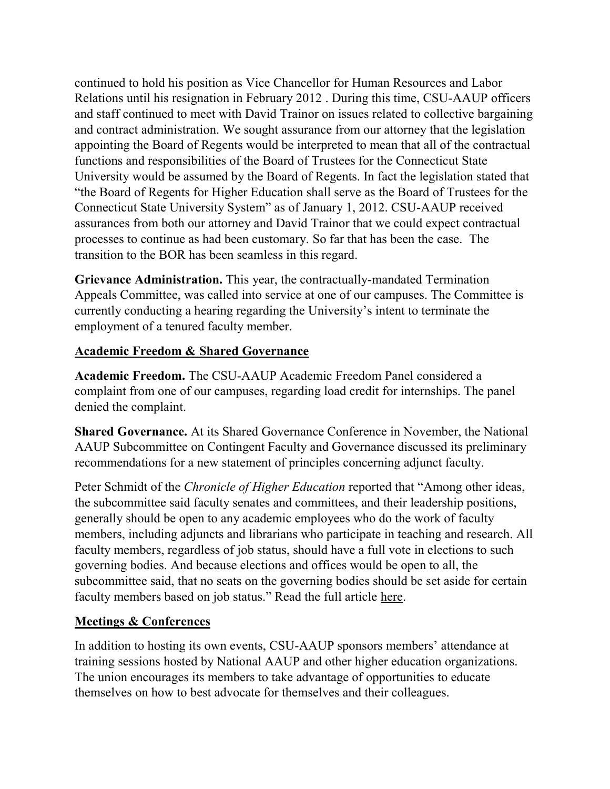continued to hold his position as Vice Chancellor for Human Resources and Labor Relations until his resignation in February 2012 . During this time, CSU-AAUP officers and staff continued to meet with David Trainor on issues related to collective bargaining and contract administration. We sought assurance from our attorney that the legislation appointing the Board of Regents would be interpreted to mean that all of the contractual functions and responsibilities of the Board of Trustees for the Connecticut State University would be assumed by the Board of Regents. In fact the legislation stated that "the Board of Regents for Higher Education shall serve as the Board of Trustees for the Connecticut State University System" as of January 1, 2012. CSU-AAUP received assurances from both our attorney and David Trainor that we could expect contractual processes to continue as had been customary. So far that has been the case. The transition to the BOR has been seamless in this regard.

**Grievance Administration.** This year, the contractually-mandated Termination Appeals Committee, was called into service at one of our campuses. The Committee is currently conducting a hearing regarding the University's intent to terminate the employment of a tenured faculty member.

#### **Academic Freedom & Shared Governance**

**Academic Freedom.** The CSU-AAUP Academic Freedom Panel considered a complaint from one of our campuses, regarding load credit for internships. The panel denied the complaint.

**Shared Governance.** At its Shared Governance Conference in November, the National AAUP Subcommittee on Contingent Faculty and Governance discussed its preliminary recommendations for a new statement of principles concerning adjunct faculty.

Peter Schmidt of the *Chronicle of Higher Education* reported that "Among other ideas, the subcommittee said faculty senates and committees, and their leadership positions, generally should be open to any academic employees who do the work of faculty members, including adjuncts and librarians who participate in teaching and research. All faculty members, regardless of job status, should have a full vote in elections to such governing bodies. And because elections and offices would be open to all, the subcommittee said, that no seats on the governing bodies should be set aside for certain faculty members based on job status." Read the full article [here.](http://chronicle.com/article/AAUP-Weighs-Whether-Adjunct/129775/?sid=at&utm_source=at&utm_medium=en)

## **Meetings & Conferences**

In addition to hosting its own events, CSU-AAUP sponsors members' attendance at training sessions hosted by National AAUP and other higher education organizations. The union encourages its members to take advantage of opportunities to educate themselves on how to best advocate for themselves and their colleagues.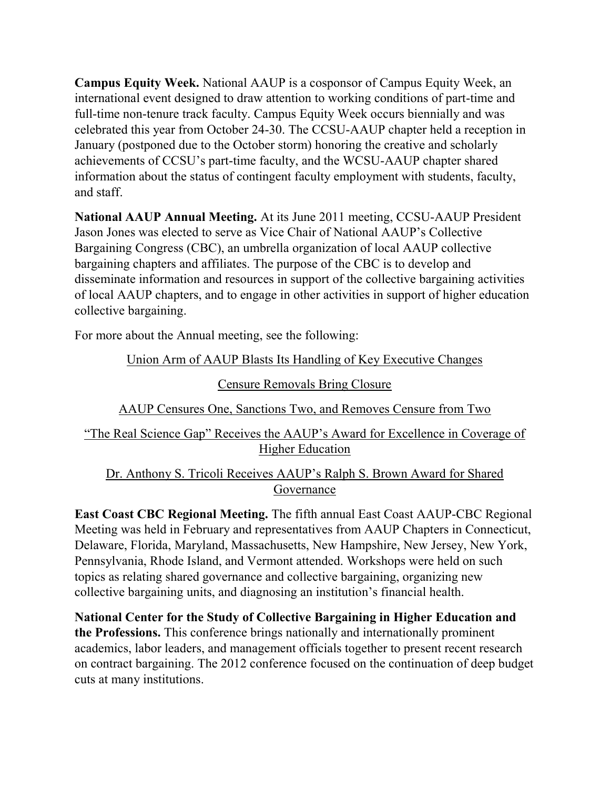**Campus Equity Week.** National AAUP is a cosponsor of Campus Equity Week, an international event designed to draw attention to working conditions of part-time and full-time non-tenure track faculty. Campus Equity Week occurs biennially and was celebrated this year from October 24-30. The CCSU-AAUP chapter held a reception in January (postponed due to the October storm) honoring the creative and scholarly achievements of CCSU's part-time faculty, and the WCSU-AAUP chapter shared information about the status of contingent faculty employment with students, faculty, and staff.

**National AAUP Annual Meeting.** At its June 2011 meeting, CCSU-AAUP President Jason Jones was elected to serve as Vice Chair of National AAUP's Collective Bargaining Congress (CBC), an umbrella organization of local AAUP collective bargaining chapters and affiliates. The purpose of the CBC is to develop and disseminate information and resources in support of the collective bargaining activities of local AAUP chapters, and to engage in other activities in support of higher education collective bargaining.

For more about the Annual meeting, see the following:

## [Union Arm of AAUP Blasts Its Handling of Key Executive Changes](http://www.google.com/url?sa=X&q=http://chronicle.com/article/Union-Arm-of-AAUP-Blasts-Its/127895/&ct=ga&cad=CAcQAhgBIAAoATAAOABA8L3J7wRIAVAAWABiBWVuLVVT&cd=wp6Ijztxm94&usg=AFQjCNH59KpHD3tHEWtgVA9Z1UdpVzdI3w)

#### [Censure Removals Bring Closure](http://www.aaup.org/AAUP/newsroom/2011PRs/katrina.htm)

## [AAUP Censures One, Sanctions Two, and Removes Censure from Two](http://www.aaup.org/AAUP/newsroom/2011PRs/censuresanction.htm)

## ["The Real Science Gap" Receives the AAUP's Award for Excellence in Coverage of](http://www.aaup.org/AAUP/newsroom/2011PRs/HEAward.htm)  [Higher Education](http://www.aaup.org/AAUP/newsroom/2011PRs/HEAward.htm)

## [Dr. Anthony S. Tricoli Receives AAUP's Ralph S. Brown Award for Shared](http://www.aaup.org/AAUP/newsroom/2011PRs/brown.htm)  [Governance](http://www.aaup.org/AAUP/newsroom/2011PRs/brown.htm)

**East Coast CBC Regional Meeting.** The fifth annual East Coast AAUP-CBC Regional Meeting was held in February and representatives from AAUP Chapters in Connecticut, Delaware, Florida, Maryland, Massachusetts, New Hampshire, New Jersey, New York, Pennsylvania, Rhode Island, and Vermont attended. Workshops were held on such topics as relating shared governance and collective bargaining, organizing new collective bargaining units, and diagnosing an institution's financial health.

**National Center for the Study of Collective Bargaining in Higher Education and the Professions.** This conference brings nationally and internationally prominent academics, labor leaders, and management officials together to present recent research on contract bargaining. The 2012 conference focused on the continuation of deep budget cuts at many institutions.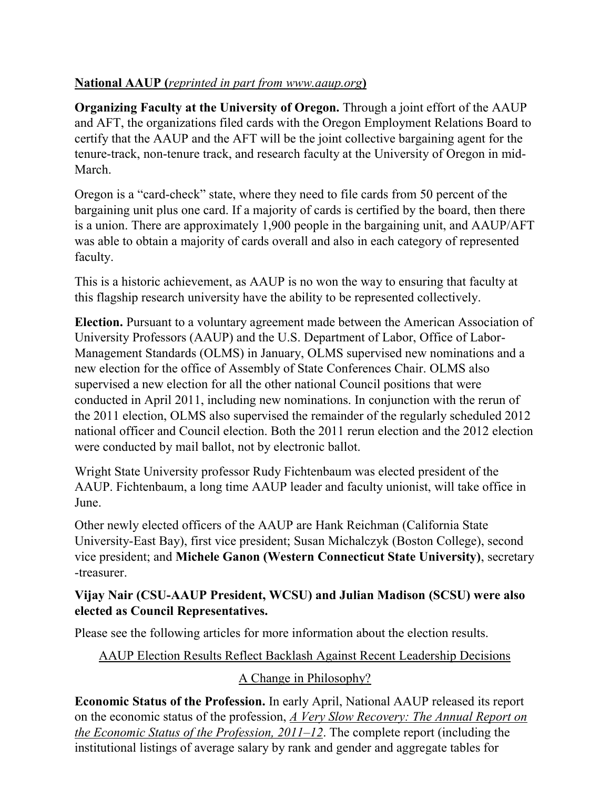# **National AAUP (***reprinted in part from www.aaup.org***)**

**Organizing Faculty at the University of Oregon.** Through a joint effort of the AAUP and AFT, the organizations filed cards with the Oregon Employment Relations Board to certify that the AAUP and the AFT will be the joint collective bargaining agent for the tenure-track, non-tenure track, and research faculty at the University of Oregon in mid-March.

Oregon is a "card-check" state, where they need to file cards from 50 percent of the bargaining unit plus one card. If a majority of cards is certified by the board, then there is a union. There are approximately 1,900 people in the bargaining unit, and AAUP/AFT was able to obtain a majority of cards overall and also in each category of represented faculty.

This is a historic achievement, as AAUP is no won the way to ensuring that faculty at this flagship research university have the ability to be represented collectively.

**Election.** Pursuant to a voluntary agreement made between the American Association of University Professors (AAUP) and the U.S. Department of Labor, Office of Labor-Management Standards (OLMS) in January, OLMS supervised new nominations and a new election for the office of Assembly of State Conferences Chair. OLMS also supervised a new election for all the other national Council positions that were conducted in April 2011, including new nominations. In conjunction with the rerun of the 2011 election, OLMS also supervised the remainder of the regularly scheduled 2012 national officer and Council election. Both the 2011 rerun election and the 2012 election were conducted by mail ballot, not by electronic ballot.

Wright State University professor Rudy Fichtenbaum was elected president of the AAUP. Fichtenbaum, a long time AAUP leader and faculty unionist, will take office in June.

Other newly elected officers of the AAUP are Hank Reichman (California State University-East Bay), first vice president; Susan Michalczyk (Boston College), second vice president; and **Michele Ganon (Western Connecticut State University)**, secretary -treasurer.

## **Vijay Nair (CSU-AAUP President, WCSU) and Julian Madison (SCSU) were also elected as Council Representatives.**

Please see the following articles for more information about the election results.

## [AAUP Election Results Reflect Backlash Against Recent Leadership Decisions](http://www.google.com/url?sa=X&q=http://chronicle.com/article/AAUP-Election-Results-Reflect/131604/&ct=ga&cad=CAcQAhgBIAAoATACOAJA_s7G_ARIAVAAWABiBWVuLVVT&cd=giAqJovrwCU&usg=AFQjCNG0Vz5zSaCrKPHZQ5fiVzEHFK-MCg)

# [A Change in Philosophy?](http://www.google.com/url?sa=X&q=http://www.insidehighered.com/news/2012/04/20/aaup-about-change-course&ct=ga&cad=CAcQAhgBIAAoATAAOABA_s7G_ARIAVAAWABiBWVuLVVT&cd=giAqJovrwCU&usg=AFQjCNF3HsWb8Hl2D-k_Z7JkKqXQNcdXEw)

**Economic Status of the Profession.** In early April, National AAUP released its report on the economic status of the profession, *[A Very Slow Recovery: The Annual Report on](https://online.aaup.org/aaupssa/ecmssamsganalytics.click_through?p_mail_id=E10138A2671470B1C2887)  [the Economic Status of the Profession, 2011](https://online.aaup.org/aaupssa/ecmssamsganalytics.click_through?p_mail_id=E10138A2671470B1C2887)–12*. The complete report (including the institutional listings of average salary by rank and gender and aggregate tables for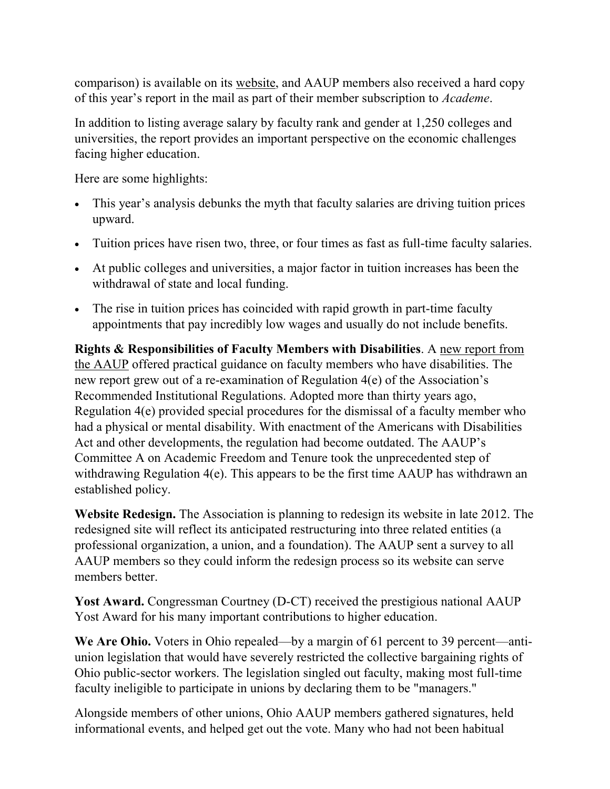comparison) is available on its [website,](http://www.aaup.org/) and AAUP members also received a hard copy of this year's report in the mail as part of their member subscription to *Academe*.

In addition to listing average salary by faculty rank and gender at 1,250 colleges and universities, the report provides an important perspective on the economic challenges facing higher education.

Here are some highlights:

- This year's analysis debunks the myth that faculty salaries are driving tuition prices upward.
- Tuition prices have risen two, three, or four times as fast as full-time faculty salaries.
- At public colleges and universities, a major factor in tuition increases has been the withdrawal of state and local funding.
- The rise in tuition prices has coincided with rapid growth in part-time faculty appointments that pay incredibly low wages and usually do not include benefits.

**Rights & Responsibilities of Faculty Members with Disabilities**. A [new report from](https://online.aaup.org/aaupssa/ecmssamsganalytics.click_through?p_mail_id=E9030A1783850B1C2467)  [the AAUP](https://online.aaup.org/aaupssa/ecmssamsganalytics.click_through?p_mail_id=E9030A1783850B1C2467) offered practical guidance on faculty members who have disabilities. The new report grew out of a re-examination of Regulation 4(e) of the Association's Recommended Institutional Regulations. Adopted more than thirty years ago, Regulation 4(e) provided special procedures for the dismissal of a faculty member who had a physical or mental disability. With enactment of the Americans with Disabilities Act and other developments, the regulation had become outdated. The AAUP's Committee A on Academic Freedom and Tenure took the unprecedented step of withdrawing Regulation 4(e). This appears to be the first time AAUP has withdrawn an established policy.

**Website Redesign.** The Association is planning to redesign its website in late 2012. The redesigned site will reflect its anticipated restructuring into three related entities (a professional organization, a union, and a foundation). The AAUP sent a survey to all AAUP members so they could inform the redesign process so its website can serve members better.

**Yost Award.** Congressman Courtney (D-CT) received the prestigious national AAUP Yost Award for his many important contributions to higher education.

We Are Ohio. Voters in Ohio repealed—by a margin of 61 percent to 39 percent—antiunion legislation that would have severely restricted the collective bargaining rights of Ohio public-sector workers. The legislation singled out faculty, making most full-time faculty ineligible to participate in unions by declaring them to be "managers."

Alongside members of other unions, Ohio AAUP members gathered signatures, held informational events, and helped get out the vote. Many who had not been habitual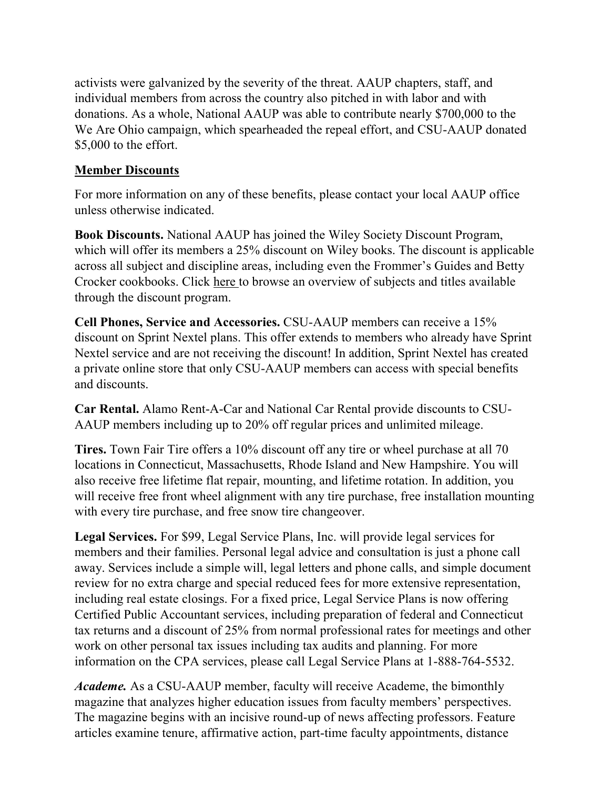activists were galvanized by the severity of the threat. AAUP chapters, staff, and individual members from across the country also pitched in with labor and with donations. As a whole, National AAUP was able to contribute nearly \$700,000 to the We Are Ohio campaign, which spearheaded the repeal effort, and CSU-AAUP donated \$5,000 to the effort.

#### **Member Discounts**

For more information on any of these benefits, please contact your local AAUP office unless otherwise indicated.

**Book Discounts.** National AAUP has joined the Wiley Society Discount Program, which will offer its members a 25% discount on Wiley books. The discount is applicable across all subject and discipline areas, including even the Frommer's Guides and Betty Crocker cookbooks. Click [here t](http://lyris.eresources.com:81/t/5286380/5600656/1876/0/)o browse an overview of subjects and titles available through the discount program.

**Cell Phones, Service and Accessories.** CSU-AAUP members can receive a 15% discount on Sprint Nextel plans. This offer extends to members who already have Sprint Nextel service and are not receiving the discount! In addition, Sprint Nextel has created a private online store that only CSU-AAUP members can access with special benefits and discounts.

**Car Rental.** Alamo Rent-A-Car and National Car Rental provide discounts to CSU-AAUP members including up to 20% off regular prices and unlimited mileage.

**Tires.** Town Fair Tire offers a 10% discount off any tire or wheel purchase at all 70 locations in Connecticut, Massachusetts, Rhode Island and New Hampshire. You will also receive free lifetime flat repair, mounting, and lifetime rotation. In addition, you will receive free front wheel alignment with any tire purchase, free installation mounting with every tire purchase, and free snow tire changeover.

**Legal Services.** For \$99, Legal Service Plans, Inc. will provide legal services for members and their families. Personal legal advice and consultation is just a phone call away. Services include a simple will, legal letters and phone calls, and simple document review for no extra charge and special reduced fees for more extensive representation, including real estate closings. For a fixed price, Legal Service Plans is now offering Certified Public Accountant services, including preparation of federal and Connecticut tax returns and a discount of 25% from normal professional rates for meetings and other work on other personal tax issues including tax audits and planning. For more information on the CPA services, please call Legal Service Plans at 1-888-764-5532.

*Academe.* As a CSU-AAUP member, faculty will receive Academe, the bimonthly magazine that analyzes higher education issues from faculty members' perspectives. The magazine begins with an incisive round-up of news affecting professors. Feature articles examine tenure, affirmative action, part-time faculty appointments, distance